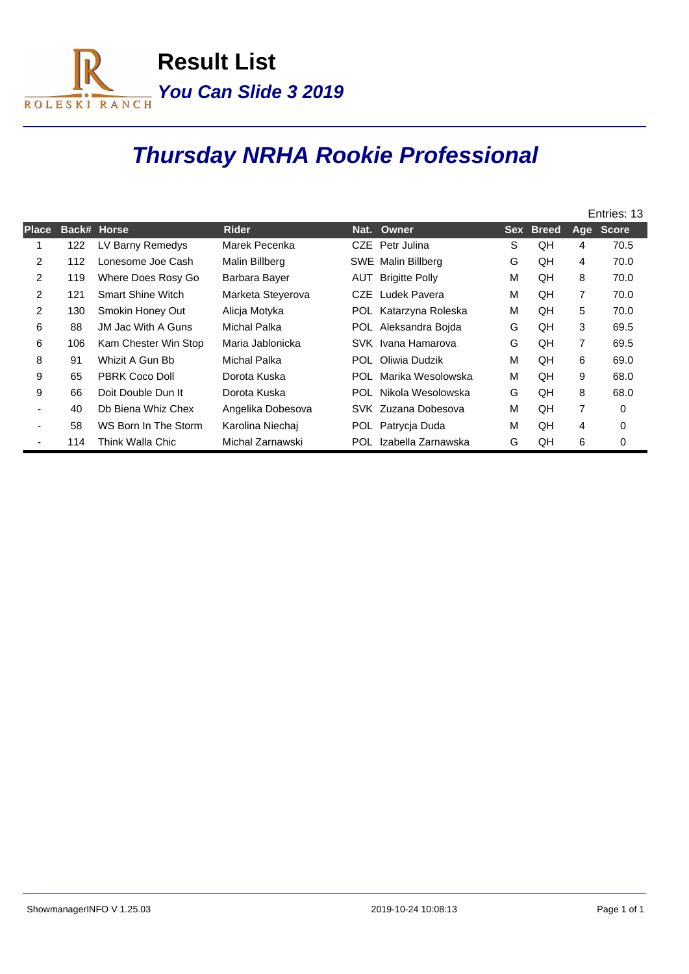

## **Thursday NRHA Rookie Professional**

|              |     |                           |                   |      |                        |   |           | Entries: 13    |           |  |
|--------------|-----|---------------------------|-------------------|------|------------------------|---|-----------|----------------|-----------|--|
| <b>Place</b> |     | Back# Horse               | <b>Rider</b>      | Nat. | Owner                  |   | Sex Breed |                | Age Score |  |
|              | 122 | LV Barny Remedys          | Marek Pecenka     |      | CZE Petr Julina        | S | QH        | 4              | 70.5      |  |
| 2            | 112 | Lonesome Joe Cash         | Malin Billberg    |      | SWE Malin Billberg     | G | QH        | 4              | 70.0      |  |
| 2            | 119 | Where Does Rosy Go        | Barbara Bayer     | AUT  | <b>Brigitte Polly</b>  | M | QH        | 8              | 70.0      |  |
| 2            | 121 | <b>Smart Shine Witch</b>  | Marketa Steyerova | CZE. | Ludek Pavera           | M | QH        | 7              | 70.0      |  |
| 2            | 130 | Smokin Honey Out          | Alicja Motyka     |      | POL Katarzyna Roleska  | M | QH        | 5              | 70.0      |  |
| 6            | 88  | <b>JM Jac With A Guns</b> | Michal Palka      |      | POL Aleksandra Bojda   | G | QH        | 3              | 69.5      |  |
| 6            | 106 | Kam Chester Win Stop      | Maria Jablonicka  |      | SVK Ivana Hamarova     | G | QH        | 7              | 69.5      |  |
| 8            | 91  | Whizit A Gun Bb           | Michal Palka      |      | POL Oliwia Dudzik      | M | QH        | 6              | 69.0      |  |
| 9            | 65  | <b>PBRK Coco Doll</b>     | Dorota Kuska      | POL  | Marika Wesolowska      | M | QH        | 9              | 68.0      |  |
| 9            | 66  | Doit Double Dun It        | Dorota Kuska      |      | POL Nikola Wesolowska  | G | QH        | 8              | 68.0      |  |
|              | 40  | Db Biena Whiz Chex        | Angelika Dobesova |      | SVK Zuzana Dobesova    | M | QH        | $\overline{7}$ | $\Omega$  |  |
|              | 58  | WS Born In The Storm      | Karolina Niechai  |      | POL Patrycja Duda      | M | QH        | 4              | 0         |  |
|              | 114 | Think Walla Chic          | Michal Zarnawski  |      | POL Izabella Zarnawska | G | QH        | 6              | 0         |  |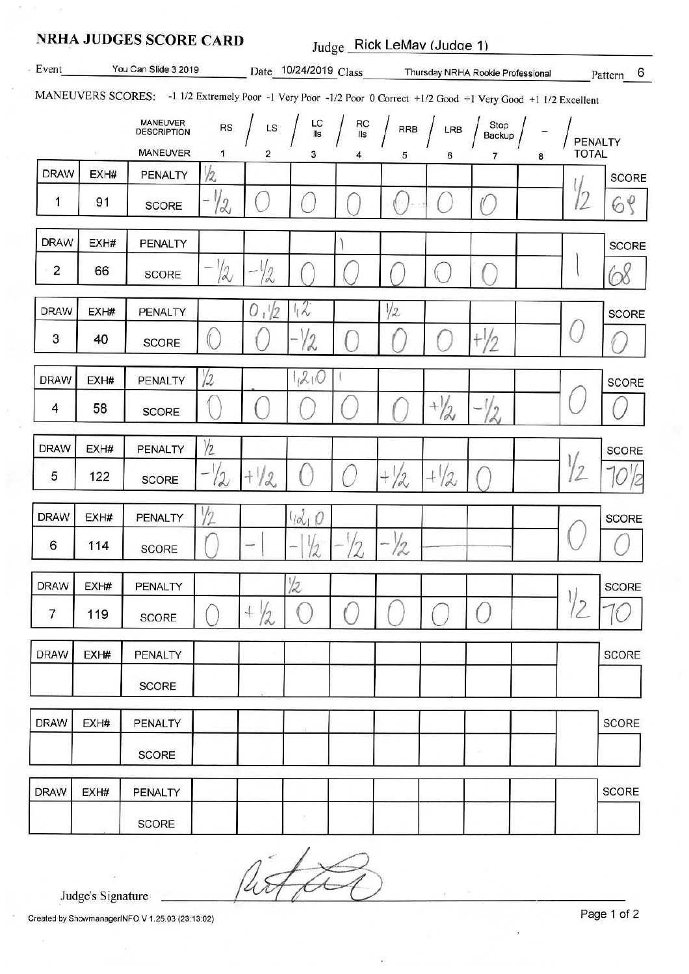|                |      | <b>NRHA JUDGES SCORE CARD</b>                                                                                    |               |               | Judge Rick LeMav (Judge 1)                                  |                                                                                                                     |                                 |                |                                                         |   |               |              |
|----------------|------|------------------------------------------------------------------------------------------------------------------|---------------|---------------|-------------------------------------------------------------|---------------------------------------------------------------------------------------------------------------------|---------------------------------|----------------|---------------------------------------------------------|---|---------------|--------------|
| Event          |      | You Can Slide 3 2019                                                                                             |               |               |                                                             |                                                                                                                     |                                 |                | Date 10/24/2019 Class Thursday NRHA Rookie Professional |   |               | Pattern 6    |
|                |      | MANEUVERS SCORES: -1 1/2 Extremely Poor -1 Very Poor -1/2 Poor 0 Correct +1/2 Good +1 Very Good +1 1/2 Excellent |               |               |                                                             |                                                                                                                     |                                 |                |                                                         |   |               |              |
|                |      | <b>MANEUVER</b><br><b>DESCRIPTION</b>                                                                            | $_{\rm RS}$   |               | $\mathsf{LS}$ $\left  \begin{array}{c} \end{array} \right $ | $\begin{array}{c} \n\text{LC} \\ \text{lls}\n\end{array}$ $\begin{array}{c} \n\text{RC} \\ \text{lls}\n\end{array}$ | $\frac{1}{2}$ RRB $\frac{1}{2}$ | LRB            | Stop<br>Backup                                          |   | PENALTY       |              |
|                |      | MANEUVER                                                                                                         | 1             | 2             | з                                                           | 4                                                                                                                   | 5                               | 6              | $\overline{7}$                                          | 8 | <b>TOTAL</b>  |              |
| <b>DRAW</b>    | EXH# | <b>PENALTY</b>                                                                                                   | $\frac{1}{2}$ |               |                                                             |                                                                                                                     |                                 |                |                                                         |   |               | <b>SCORE</b> |
| 1              | 91   | <b>SCORE</b>                                                                                                     | $-1/2$        |               |                                                             |                                                                                                                     |                                 |                |                                                         |   | 12            | 68           |
| <b>DRAW</b>    | EXH# | PENALTY                                                                                                          |               |               |                                                             |                                                                                                                     |                                 |                |                                                         |   |               | <b>SCORE</b> |
| $\overline{2}$ | 66   | <b>SCORE</b>                                                                                                     | 12            | $\frac{1}{2}$ |                                                             |                                                                                                                     |                                 | $\sqrt{1}$     |                                                         |   |               | 68           |
| <b>DRAW</b>    | EXH# | PENALTY                                                                                                          |               | 0,1/2         | 12.                                                         |                                                                                                                     | 1/2                             |                |                                                         |   |               | SCORE        |
| 3              | 40   | <b>SCORE</b>                                                                                                     |               |               | $\sqrt{2}$                                                  |                                                                                                                     |                                 |                |                                                         |   |               |              |
| <b>DRAW</b>    | EXH# | PENALTY                                                                                                          | $\sqrt{2}$    |               | 120                                                         |                                                                                                                     |                                 |                |                                                         |   |               | <b>SCORE</b> |
| 4              | 58   | <b>SCORE</b>                                                                                                     |               |               |                                                             |                                                                                                                     |                                 | $+\frac{1}{2}$ |                                                         |   |               |              |
| <b>DRAW</b>    | EXH# | PENALTY                                                                                                          | $\frac{1}{2}$ |               |                                                             |                                                                                                                     |                                 |                |                                                         |   |               | SCORE        |
| 5              | 122  | <b>SCORE</b>                                                                                                     | $-72$         | $+1/2$        | $\cdot$                                                     |                                                                                                                     | $+ / 2$                         | $+1/2$         |                                                         |   | $\frac{1}{2}$ |              |
| <b>DRAW</b>    | EXH# | PENALTY                                                                                                          |               |               | $1/d_1$                                                     |                                                                                                                     |                                 |                |                                                         |   |               | SCORE        |
| 6              | 114  | <b>SCORE</b>                                                                                                     |               | J.            | 1/2                                                         | $\sqrt{2}$                                                                                                          | 12                              |                |                                                         |   |               | $\checkmark$ |
| <b>DRAW</b>    | EXH# | PENALTY                                                                                                          |               |               | $\frac{1}{2}$                                               |                                                                                                                     |                                 |                |                                                         |   |               | <b>SCORE</b> |
| 7              | 119  | <b>SCORE</b>                                                                                                     |               | $^{+}$<br>1/2 |                                                             |                                                                                                                     |                                 |                |                                                         |   | $\epsilon$    |              |
| <b>DRAW</b>    | EXH# | PENALTY                                                                                                          |               |               |                                                             |                                                                                                                     |                                 |                |                                                         |   |               | <b>SCORE</b> |
|                |      | <b>SCORE</b>                                                                                                     |               |               |                                                             |                                                                                                                     |                                 |                |                                                         |   |               |              |
| <b>DRAW</b>    | EXH# | <b>PENALTY</b>                                                                                                   |               |               |                                                             |                                                                                                                     |                                 |                |                                                         |   |               | <b>SCORE</b> |
|                |      | <b>SCORE</b>                                                                                                     |               |               |                                                             |                                                                                                                     |                                 |                |                                                         |   |               |              |
| <b>DRAW</b>    | EXH# | <b>PENALTY</b>                                                                                                   |               |               |                                                             |                                                                                                                     |                                 |                |                                                         |   |               | <b>SCORE</b> |
|                |      | <b>SCORE</b>                                                                                                     |               |               |                                                             |                                                                                                                     |                                 |                |                                                         |   |               |              |

Ú

Judge's Signature

Created by ShowmanagerINFO V 1.25.03 (23:13:02)